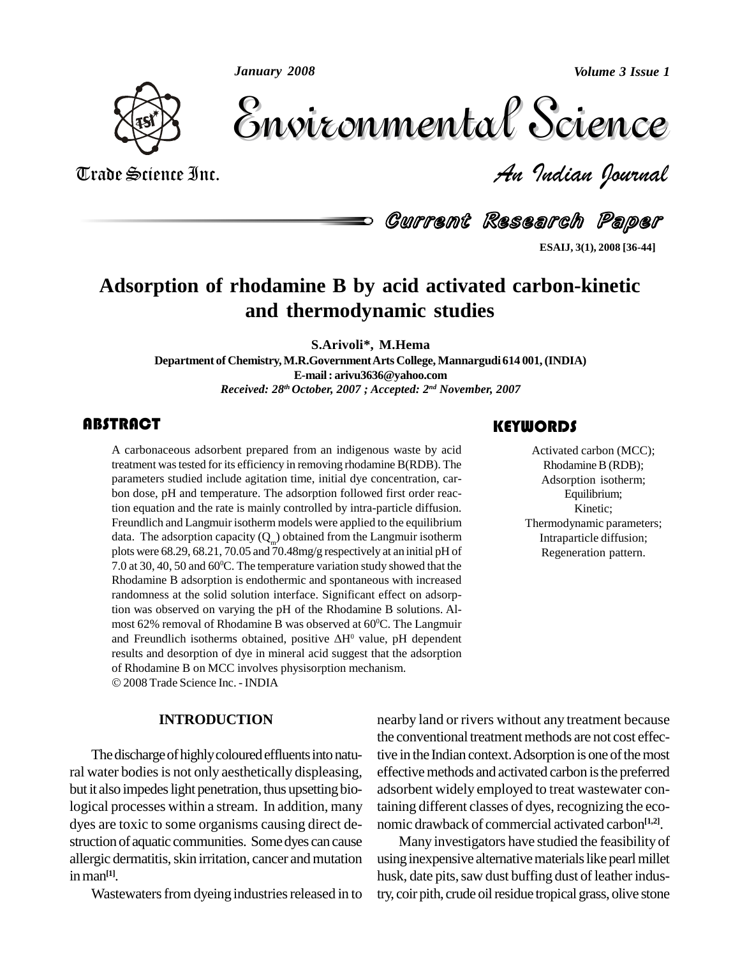*January 2008*

*Volume 3 Issue 1*



Volume 3 Issue 1 Trade Science Inc. *An Indian Journal* Volume 3 Issue 1

Current Research Paper

**ESAIJ, 3(1), 2008 [36-44]**

# **Adsorption of rhodamine B by acid activated carbon-kinetic and thermodynamic studies**

**S.Arivoli\*, M.Hema**

**Department of Chemistry,M.R.GovernmentArts College, Mannargudi 614 001,(INDIA) E-mail: [arivu3636@yahoo.com](mailto:arivu3636@yahoo.com)** *Received: 28 th October, 2007 ; Accepted: 2 nd November, 2007*

### **ABSTRACT**

A carbonaceous adsort<br>treatment was tested for<br>parameters studied incl A carbonaceous adsorbent prepared from an indigenous waste by acid treatment wastested for its efficiency in removing rhodamine B(RDB). The parameters studied include agitation time, initial dye concentration, car bon dose, pH and temperature. The adsorption followed first order reaction equation and the rate is mainly controlled by intra-particle diffusion. Freundlich and Langmuir isotherm models were applied to the equilibrium data. The adsorption capacity  $(Q_m)$  obtained from the Langmuir isotherm plots were 68.29, 68.21, 70.05 and 70.48mg/g respectively at an initial pH of 7.0 at 30, 40, 50 and 60 <sup>0</sup>C. The temperature variation study showed that the Rhodamine B adsorption is endothermic and spontaneous with increased randomness at the solid solution interface. Significant effect on adsorption was observed on varying the pH of the Rhodamine B solutions. Almost 62% removal of Rhodamine B was observed at 60<sup>o</sup>C. The Langmuir and Freundlich isotherms obtained, positive  $\Delta H^0$  value, pH dependent most 62% removal of Rhodamine B was observed at 60°C. The Langmuir results and desorption of dye in mineral acid suggest that the adsorption of Rhodamine <sup>B</sup> onMCC involves physisorption mechanism. 2008Trade Science Inc. - INDIA

**INTRODUCTION**

The discharge of highly coloured effluents into natural water bodies is not only aesthetically displeasing, but it also impedes light penetration, thus upsetting biological processes within a stream. In addition, many dyes are toxic to some organisms causing direct de struction of aquatic communities. Somedyes can cause allergic dermatitis, skin irritation, cancer and mutation inman **[1]**.

Wastewaters from dyeing industries released in to

### nearby land or rivers without any treatment because the conventional treatment methods are not cost effective in the Indian context. Adsorption is one of the most effective methods and activated carbon is the preferred adsorbent widely employed to treat wastewater containing different classes of dyes, recognizing the eco nomic drawback of commercial activated carbon **[1,2]**.

Many investigators have studied the feasibility of using inexpensive alternative materials like pearl millet husk, date pits, saw dust buffing dust of leather industry, coir pith, crude oil residue tropical grass, olive stone

### **KEYWORDS**

Activated carbon (M<br>Rhodamine B (RD<br>Adsorption isothe Activated carbon (MCC); Rhodamine B (RDB); Adsorption isotherm; Equilibrium; Kinetic; Thermodynamic parameters; Intraparticle diffusion; Regeneration pattern.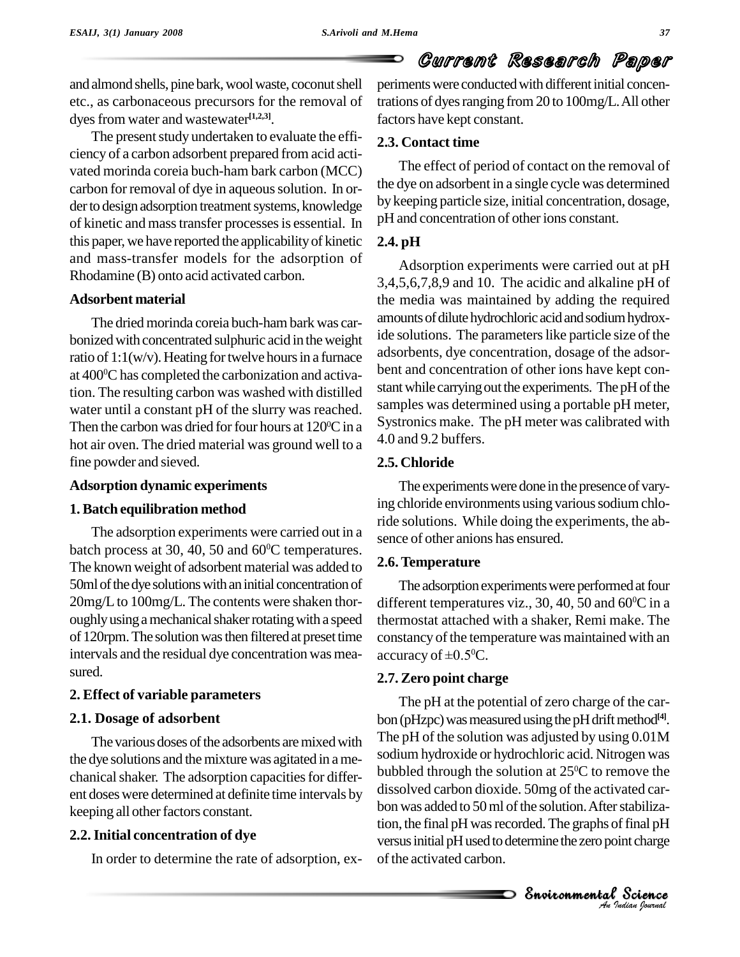and almond shells, pine bark, wool waste, coconut shell etc., as carbonaceous precursors for the removal of dyes from water and wastewater<sup>[1,2,3]</sup>.

The present study undertaken to evaluate the efficiency of a carbon adsorbent prepared from acid acti vated morinda coreia buch-ham bark carbon (MCC) carbon for removal of dye in aqueous solution. In order to design adsorption treatment systems, knowledge of kinetic and masstransfer processesis essential. In this paper, we have reported the applicability of kinetic and mass-transfer models for the adsorption of Rhodamine (B) onto acid activated carbon.

### **Adsorbent material**

The dried morinda coreia buch-hambark was car bonized with concentrated sulphuric acid in the weight ratio of  $1:1(w/v)$ . Heating for twelve hours in a furnace at 400 <sup>0</sup>C has completed the carbonization and activation. The resulting carbon was washed with distilled water until a constant pH of the slurry was reached. Then the carbon was dried for four hours at  $120^{\circ}$ C in a  $^{5}$  System hot air oven. The dried material was ground well to a fine powder and sieved.

### **Adsorption dynamic experiments**

### **1.Batch equilibration method**

The adsorption experiments were carried out in a batch process at 30, 40, 50 and 60<sup>°</sup>C temperatures. The known weight of adsorbent material was added to 50ml of the dye solutions with an initial concentration of 20mg/L to 100mg/L. The contents were shaken thoroughly using a mechanical shaker rotating with a speed of 120rpm. The solution was then filtered at preset time intervals and the residual dye concentration was mea sured.

### **2. Effect of variable parameters**

### **2.1. Dosage of adsorbent**

The various doses of the adsorbents are mixed with the dye solutions and the mixture was agitated in a mechanical shaker. The adsorption capacities for different doseswere determined at definite time intervals by keeping all other factors constant.

### **2.2.Initial concentration of dye**

In order to determine the rate of adsorption, ex-

periments were conducted with different initial concentrations of dyes ranging from 20 to 100mg/L. All other factors have kept constant.

### **2.3. Contact time**

The effect of period of contact on the removal of the dye on adsorbent in a single cycle was determined by keeping particle size, initial concentration, dosage, pH and concentration of other ions constant.

### **2.4. pH**

Adsorption experiments were carried out at pH 3,4,5,6,7,8,9 and 10. The acidic and alkaline pH of the media was maintained by adding the required amounts of dilute hydrochloric acid and sodium hydroxide solutions. The parameters like particle size of the adsorbents, dye concentration, dosage of the adsor bent and concentration of other ions have kept con stant while carrying out the experiments. The pH of the samples was determined using a portable pH meter, Systronics make. The pH meter was calibrated with 4.0 and 9.2 buffers.

### **2.5. Chloride**

The experiments were done in the presence of varying chloride environments using various sodium chloride solutions. While doing the experiments, the ab sence of other anions has ensured.

### **2.6.Temperature**

The adsorption experiments were performed at four different temperatures viz., 30, 40, 50 and 60 $^{\circ}$ C in a thermostat attached with a shaker, Remi make. The constancy of the temperature was maintained with an thermostat attached with a<br>constancy of the temperature<br>accuracy of  $\pm 0.5^{\circ}$ C. accuracy of  $\pm 0.5$ <sup>o</sup>C.

### **2.7. Zero point charge**

anssorved carbon dioxide. Joing or the activated car-<br>bon was added to 50 ml of the solution. After stabiliza-*I*r stabiliza-<br>*Indian* pH<br>*Indian bournal* ated car-<br>stabiliza-<br>final pH<br>mt charge<br>Science The pH at the potential of zero charge of the car bon (pHzpc) was measured using the pH drift method<sup>[4]</sup>. The pH of the solution was adjusted by using 0.01M sodium hydroxide or hydrochloric acid. Nitrogen was bubbled through the solution at  $25^{\circ}$ C to remove the dissolved carbon dioxide. 50mg of the activated car tion, the final pH was recorded. The graphs of final pH versus initial pH used to determine the zero point charge of the activated carbon.

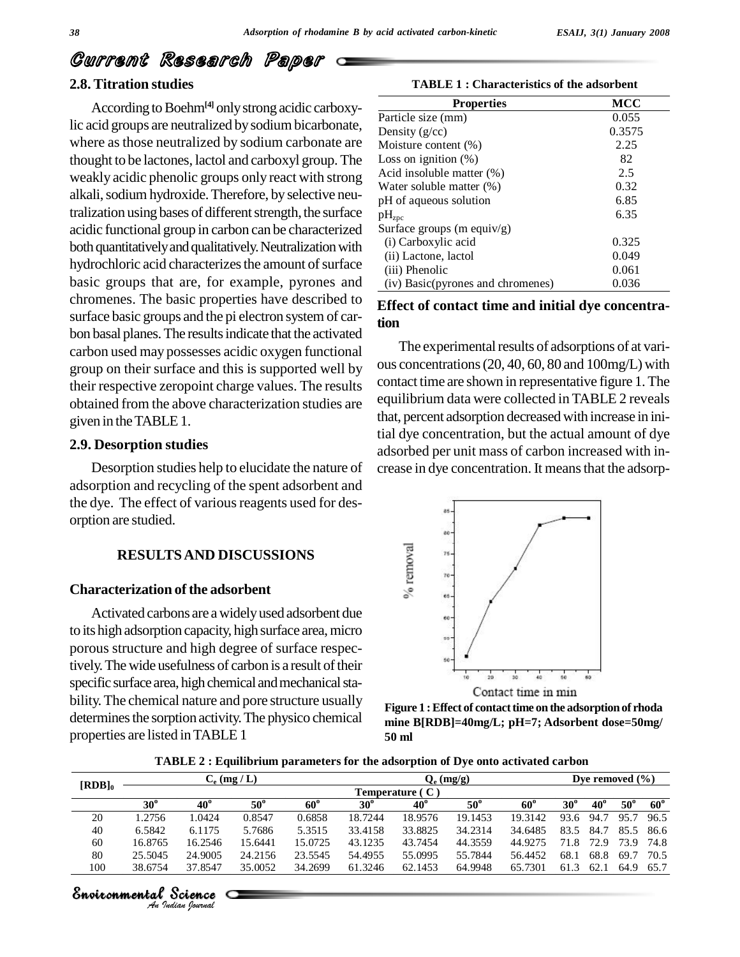### **2.8. Titration studies**

According to Boehm<sup>[4]</sup> only strong acidic carboxylic acid groups are neutralized bysodiumbicarbonate, where asthose neutralized by sodium carbonate are thought to be lactones, lactol and carboxyl group. The weakly acidic phenolic groups only react with strong alkali, sodium hydroxide. Therefore, by selective neutralization using bases of different strength, the surface acidic functional group in carbon can be characterized both quantitatively and qualitatively. Neutralization with hydrochloric acid characterizes the amount of surface basic groups that are, for example, pyrones and chromenes. The basic properties have described to surface basic groups and the pi electron system of car bon basal planes. The results indicate that the activated carbon used may possesses acidic oxygen functional group on their surface and this is supported well by their respective zeropoint charge values. The results obtained from the above characterization studies are given in theTABLE1.

### **2.9. Desorption studies**

Desorption studies help to elucidate the nature of adsorption and recycling of the spent adsorbent and the dye. The effect of various reagents used for desorption are studied.

### **RESULTSAND DISCUSSIONS**

### **Characterization of the adsorbent**

Activated carbons are awidelyused adsorbent due to its high adsorption capacity, high surface area,micro porous structure and high degree of surface respectively. The wide usefulness of carbon is a result of their specific surface area, high chemical and mechanical stability.The chemical nature and pore structure usually determines the sorption activity. The physico chemical properties are listed inTABLE 1

**TABLE 1 : Characteristics of the adsorbent**

| <b>Properties</b>                 | MCC    |
|-----------------------------------|--------|
| Particle size (mm)                | 0.055  |
| Density $(g/cc)$                  | 0.3575 |
| Moisture content (%)              | 2.25   |
| Loss on ignition $(\%)$           | 82     |
| Acid insoluble matter $(\%)$      | 2.5    |
| Water soluble matter (%)          | 0.32   |
| pH of aqueous solution            | 6.85   |
| pH <sub>zpc</sub>                 | 6.35   |
| Surface groups (m equiv/g)        |        |
| (i) Carboxylic acid               | 0.325  |
| (ii) Lactone, lactol              | 0.049  |
| (iii) Phenolic                    | 0.061  |
| (iv) Basic(pyrones and chromenes) | 0.036  |

### **Effect of contact time and initial dye concentration**

The experimental results of adsorptions of at various concentrations(20, 40, 60, 80 and 100mg/L) with contact time are shown in representative figure 1. The equilibrium data were collected in TABLE 2 reveals that, percent adsorption decreased with increase in initial dye concentration, but the actual amount of dye adsorbed per unit mass of carbon increased with in crease in dye concentration. It means that the adsorp-



**Figure 1 :Effect of contacttime on the adsorptionof rhoda mine B[RDB]=40mg/L; pH=7; Adsorbent dose=50mg/ 50 ml**

| TABLE 2 : Equilibrium parameters for the adsorption of Dve onto activated carbon |
|----------------------------------------------------------------------------------|
|----------------------------------------------------------------------------------|

| $[RDB]_0$ | $C_e$ (mg / L)  |              |              |            | $Q_e$ (mg/g) |              |            |            | Dye removed $(\% )$ |              |            |            |
|-----------|-----------------|--------------|--------------|------------|--------------|--------------|------------|------------|---------------------|--------------|------------|------------|
|           | Temperature (C) |              |              |            |              |              |            |            |                     |              |            |            |
|           | $30^\circ$      | $40^{\circ}$ | $50^{\circ}$ | $60^\circ$ | $30^\circ$   | $40^{\circ}$ | $50^\circ$ | $60^\circ$ | $30^\circ$          | $40^{\circ}$ | $50^\circ$ | $60^\circ$ |
| 20        | 1.2756          | 1.0424       | 0.8547       | 0.6858     | 18.7244      | 18.9576      | 19.1453    | 19.3142    | 93.6                | 94.7         | 95.7       | 96.5       |
| 40        | 6.5842          | 6.1175       | 5.7686       | 5.3515     | 33.4158      | 33.8825      | 34.2314    | 34.6485    | 83.5                | 84.7         | 85.5       | -86.6      |
| 60        | 16.8765         | 16.2546      | 15.6441      | 15.0725    | 43.1235      | 43.7454      | 44.3559    | 44.9275    | 71.8                | 72.9         | 73.9       | 74.8       |
| 80        | 25.5045         | 24.9005      | 24.2156      | 23.5545    | 54.4955      | 55.0995      | 55.7844    | 56.4452    | 68.1                | 68.8         | 69.7       | 70.5       |
| 100       | 38.6754         | 37.8547      | 35.0052      | 34.2699    | 61.3246      | 62.1453      | 64.9948    | 65.7301    | 61.3                | 62.1         | 64.9       | 65.7       |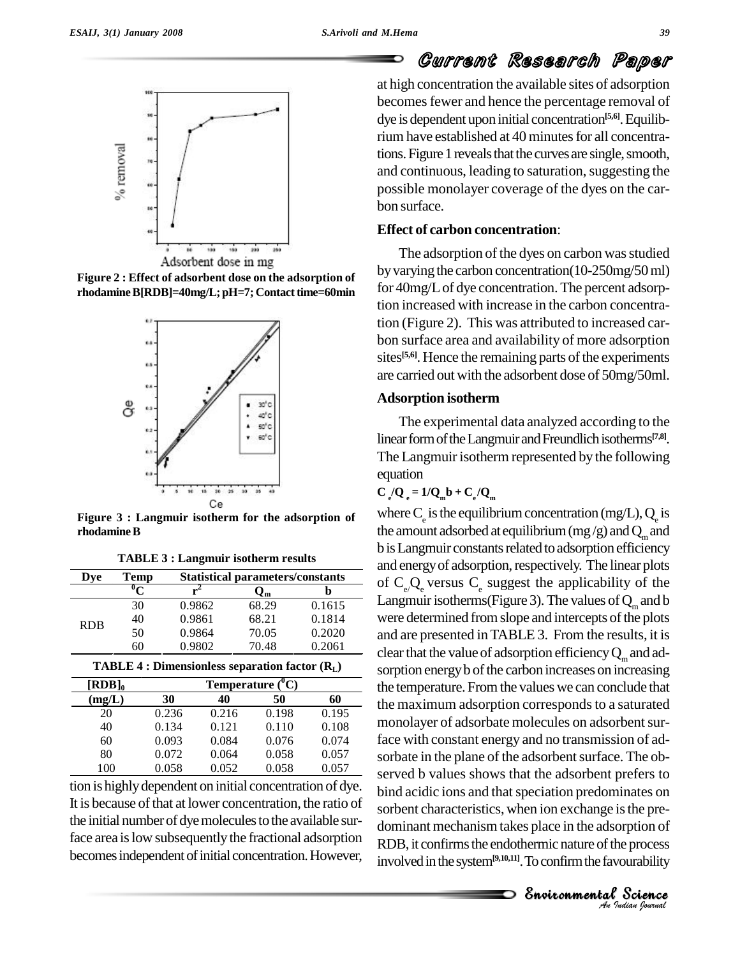





**Figure 3 : Langmuir isotherm for the adsorption of rhodamineB**

| <b>TABLE 3 : Langmuir isotherm results</b> |  |  |
|--------------------------------------------|--|--|
|--------------------------------------------|--|--|

| Dve        | Temp |        | <b>Statistical parameters/constants</b> |        |
|------------|------|--------|-----------------------------------------|--------|
|            |      |        | ∪m                                      |        |
|            | 30   | 0.9862 | 68.29                                   | 0.1615 |
| <b>RDB</b> | 40   | 0.9861 | 68.21                                   | 0.1814 |
|            | 50   | 0.9864 | 70.05                                   | 0.2020 |
|            | 60   | 0.9802 | 70.48                                   | 0.2061 |

| <b>TABLE 4 : Dimensionless separation factor <math>(RL)</math></b> |  |  |
|--------------------------------------------------------------------|--|--|
|--------------------------------------------------------------------|--|--|

| $[RDB]_0$ |       |       |       |       |
|-----------|-------|-------|-------|-------|
| (mg/L)    | 30    | 40    | 50    | 60    |
| 20        | 0.236 | 0.216 | 0.198 | 0.195 |
| 40        | 0.134 | 0.121 | 0.110 | 0.108 |
| 60        | 0.093 | 0.084 | 0.076 | 0.074 |
| 80        | 0.072 | 0.064 | 0.058 | 0.057 |
| 100       | 0.058 | 0.052 | 0.058 | 0.057 |

tion is highly dependent on initial concentration of dye. It is because of that at lower concentration, the ratio of the initial number of dye molecules to the available surface area is low subsequently the fractional adsorption becomes independent of initial concentration. However,

## Current Research Paper

at high concentration the available sites of adsorption becomes fewer and hence the percentage removal of dye is dependent upon initial concentration **[5,6]**.Equilibrium have established at 40 minutes for all concentrations. Figure 1 reveals that the curves are single, smooth, and continuous, leading to saturation, suggesting the possible monolayer coverage of the dyes on the car bon surface.

### **Effect of carbon concentration**:

The adsorption of the dyes on carbon was studied byvarying the carbon concentration(10-250mg/50ml) for 40mg/Lof dye concentration. The percent adsorption increased with increase in the carbon concentration (Figure 2). This was attributed to increased car bon surface area and availability of more adsorption sites<sup>[5,6]</sup>. Hence the remaining parts of the experiments are carried out with the adsorbent dose of 50mg/50ml.

### **Adsorption isotherm**

The experimental data analyzed according to the linear form of the Langmuir and Freundlich isotherms<sup>[7,8]</sup>. The Langmuir isotherm represented by the following equation

$$
C_e/Q_e = 1/Q_m b + C_e/Q_m
$$

*An*sorbent characteristics, when ion exchange isthe pre- *Ins* the pre-<br> *Indian Indian*<br> *I*<br> *Indian Iournal* bind acidic ions and that speciation predominates on<br>content characteristics, when ion exchange is the arc nates on<br>s the pre-<br>rption of<br>e process<br>surability<br>Science where C<sub>e</sub> is the equilibrium concentration (mg/L), Q<sub>e</sub> is the amount adsorbed at equilibrium (mg/g) and  $\mathbf{Q}_\mathrm{m}$  and b is Langmuir constants related to adsorption efficiency and energy of adsorption, respectively. The linear plots of  $C_e$ , Q<sub>e</sub> versus  $C_e$  suggest the applicability of the Langmuir isotherms(Figure 3). The values of  $Q_m$  and b were determined from slope and intercepts of the plots and are presented inTABLE 3. From the results, it is clear that the value of adsorption efficiency  $\mathbf{Q}_\mathrm{m}$  and adsorption energy b of the carbon increases on increasing the temperature. From the values we can conclude that the maximum adsorption corresponds to a saturated monolayer of adsorbate molecules on adsorbent surface with constant energy and no transmission of ad sorbate in the plane of the adsorbent surface. The observed b values shows that the adsorbent prefers to dominant mechanismtakes place in the adsorption of RDB, it confirms the endothermic nature of the process involvedinthesystem**[9,10,11]**.Toconfirmthefavourability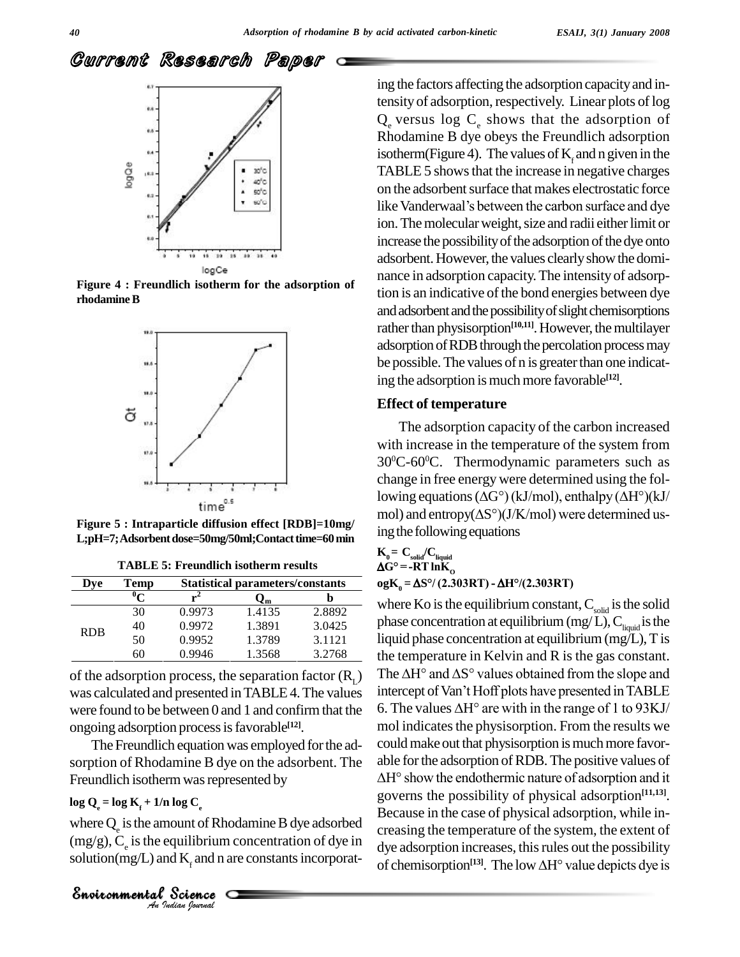

**Figure 4 : Freundlich isotherm for the adsorption of rhodamineB**



L;pH=7;Adsorbent dose=50mg/50ml;Contact time=60 min

| Dve        | Temp | <b>Statistical parameters/constants</b> |        |        |  |  |  |
|------------|------|-----------------------------------------|--------|--------|--|--|--|
|            |      |                                         | Jm     |        |  |  |  |
| <b>RDB</b> | 30   | 0.9973                                  | 1.4135 | 2.8892 |  |  |  |
|            | 40   | 0.9972                                  | 1.3891 | 3.0425 |  |  |  |
|            | 50   | 0.9952                                  | 1.3789 | 3.1121 |  |  |  |
|            | 60   | 0.9946                                  | 1.3568 | 3.2768 |  |  |  |

**TABLE 5: Freundlich isotherm results**

of the adsorption process, the separation factor  $(R_1)$ was calculated and presented in TABLE 4. The values ongoing adsorption processisfavorable **[12]**.

The Freundlich equation was employed for the adsorption of Rhodamine B dye on the adsorbent. The Freundlich isotherm was represented by

# $\log Q_e = \log K_f + 1/n \log C_e$

*Indian Journal*

log  $C_e$ <br>
ount of Rhodar<br>
quilibrium con<br>
d  $K_f$  and n are c<br>
Science where  $Q_e$  is the amount of Rhodamine B dye adsorbed creasin  $(mg/g)$ , C<sub>e</sub> is the equilibrium concentration of dye in solution(mg/L) and  $K<sub>r</sub>$  and n are constants incorporat-

ing the factors affecting the adsorption capacityand intensity of adsorption, respectively. Linear plots of log  $Q$  versus log  $C$  shows that the adsorption of Rhodamine B dye obeys the Freundlich adsorption isotherm(Figure 4). The values of  $K<sub>r</sub>$  and n given in the TABLE 5 shows that the increase in negative charges<br>on the adsorbent surface that makes electrostatic force<br>like Vanderwaal's between the carbon surface and dye on the adsorbent surface that makes electrostatic force ion. The molecular weight, size and radii either limit or increase the possibility of the adsorption of the dye onto adsorbent. However, the values clearly show the dominance in adsorption capacity.The intensity of adsorption is an indicative of the bond energies between dye and adsorbent and the possibility of slight chemisorptions rather than physisorption<sup>[10,11]</sup>. However, the multilayer adsorption of RDB through the percolation process may be possible. The values of n is greater than one indicating the adsorption ismuchmore favorable **[12]**.

### **Effect of temperature**

The adsorption capacity of the carbon increased with increase in the temperature of the system from 30 <sup>0</sup>C-60 <sup>0</sup>C. Thermodynamic parameters such as change in free energy were determined using the fol-30°C-60°C. Thermodynamic parameters such as<br>change in free energy were determined using the fol-<br>lowing equations ( $\Delta G^{\circ}$ ) (kJ/mol), enthalpy ( $\Delta H^{\circ}$ )(kJ/ change in free energy were determined using the following equations ( $\Delta G^{\circ}$ )(kJ/mol), enthalpy ( $\Delta H^{\circ}$ )(kJ/mol) and entropy( $\Delta S^{\circ}$ )(J/K/mol) were determined us-**Figure 5 : Intraparticle** diffusion effect **[RDB]=10mg**/ mol) and entropy( $\Delta S^{\circ}$ )( $J/K/mol$ ) were determined us-

ing the following equations  
\n
$$
\mathbf{K}_0 = \mathbf{C}_{\text{solid}} / \mathbf{C}_{\text{liquid}}
$$
\n
$$
\Delta \mathbf{G}^{\circ} = -\mathbf{R} \mathbf{T} \ln \mathbf{K}_0
$$

**ogK<sup>0</sup> <sup>=</sup> S°/ (2.303RT) - H°/(2.303RT)**

The  $\Delta H^{\circ}$  and  $\Delta S^{\circ}$  values obtained from the slope and were found to be between 0 and 1 and confirm that the 6. The values  $\Delta H^{\circ}$  are with in the range of 1 to 93KJ/ where Ko is the equilibrium constant,  $C_{\text{\tiny solid}}$  is the solid phase concentration at equilibrium (mg/L),  $C_{\text{liquid}}$  is the liquid phase concentration at equilibrium (mg/L), T is<br>the temperature in Kelvin and R is the gas constant.<br>The  $\Delta H^{\circ}$  and  $\Delta S^{\circ}$  values obtained from the slope and the temperature in Kelvin and R is the gas constant. the temperature in Kelvin and R is the gas constant.<br>The  $\Delta H^{\circ}$  and  $\Delta S^{\circ}$  values obtained from the slope and<br>intercept of Van't Hoff plots have presented in TABLE The  $\Delta H^{\circ}$  and  $\Delta S^{\circ}$  values obtained from the slope and<br>intercept of Van't Hoff plots have presented in TABLE<br>6. The values  $\Delta H^{\circ}$  are with in the range of 1 to 93KJ/ mol indicates the physisorption. From the results we could make out that physisorption is much more favor-<br>able for the adsorption of RDB. The positive values of<br> $\Delta H^{\circ}$  show the endothermic nature of adsorption and it able forthe adsorption ofRDB.The positive values of governs the possibility of physical adsorption **[11,13]**. Because in the case of physical adsorption, while in creasing the temperature of the system, the extent of<br>dye adsorption increases, this rules out the possibility<br>of chemisorption<sup>[13]</sup>. The low  $\Delta H^{\circ}$  value depicts dye is dye adsorption increases, this rules out the possibility of chemisorption<sup>[13]</sup>. The low  $\Delta H^{\circ}$  value depicts dye is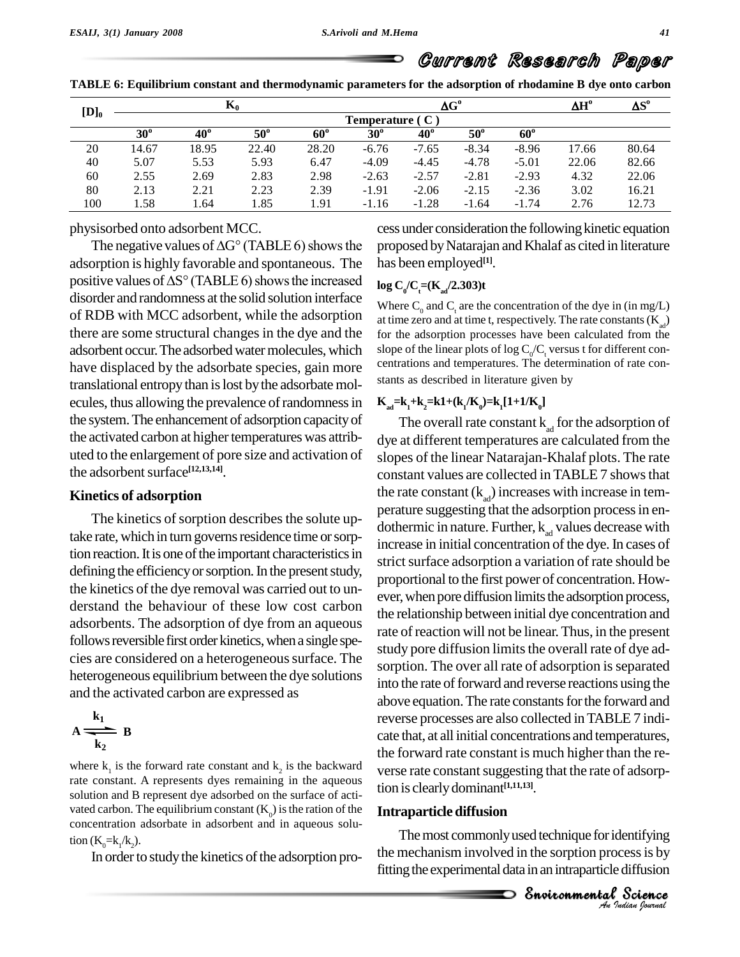∍

| Current Research Paper |
|------------------------|
|------------------------|

| TABLE 6: Equilibrium constant and thermodynamic parameters for the adsorption of rhodamine B dye onto carbon |  |  |
|--------------------------------------------------------------------------------------------------------------|--|--|
|--------------------------------------------------------------------------------------------------------------|--|--|

| $[D]_0$ |              | $\mathbf{K}_0$ |              |            |                   | $\Delta G^{\circ}$ |            |              |       | $\Delta S^{\rm o}$ |
|---------|--------------|----------------|--------------|------------|-------------------|--------------------|------------|--------------|-------|--------------------|
|         |              |                |              |            | Temperature $(C)$ |                    |            |              |       |                    |
|         | $30^{\circ}$ | $40^{\circ}$   | $50^{\circ}$ | $60^\circ$ | $30^{\circ}$      | $40^{\circ}$       | $50^\circ$ | $60^{\circ}$ |       |                    |
| 20      | 14.67        | 18.95          | 22.40        | 28.20      | $-6.76$           | $-7.65$            | $-8.34$    | $-8.96$      | 17.66 | 80.64              |
| 40      | 5.07         | 5.53           | 5.93         | 6.47       | $-4.09$           | $-4.45$            | $-4.78$    | $-5.01$      | 22.06 | 82.66              |
| 60      | 2.55         | 2.69           | 2.83         | 2.98       | $-2.63$           | $-2.57$            | $-2.81$    | $-2.93$      | 4.32  | 22.06              |
| 80      | 2.13         | 2.21           | 2.23         | 2.39       | $-1.91$           | $-2.06$            | $-2.15$    | $-2.36$      | 3.02  | 16.21              |
| 100     | 1.58         | 1.64           | 1.85         | 1.91       | $-1.16$           | $-1.28$            | $-1.64$    | $-1.74$      | 2.76  | 12.73              |

physisorbed onto adsorbent MCC.

The negative values of  $\Delta G^{\circ}$  (TABLE 6) shows the adsorption is highly favorable and spontaneous. The has be The negative values of  $\Delta G^{\circ}$  (TABLE 6) shows the proposeds adsorption is highly favorable and spontaneous. The has been positive values of  $\Delta S^{\circ}$  (TABLE 6) shows the increased  $\log C/G$ disorder and randomness at the solid solution interface of RDB with MCC adsorbent, while the adsorption there are some structural changes in the dye and the adsorbent occur. The adsorbed water molecules, which slope of the linear plots of log  $C_0/C_t$  versus t for different con-<br>have displaced by the adsorbate species, gain more centrations and temperatures. The determination have displaced by the adsorbate species, gain more translational entropythan islost bythe adsorbate mol ecules, thus allowing the prevalence of randomness in the system.The enhancement of adsorption capacityof the activated carbon at higher temperatures was attributed to the enlargement of pore size and activation of the adsorbent surface<sup>[12,13,14]</sup>.

### **Kinetics of adsorption**

take rate, which in turn governs residence time or sorption reaction. It is one of the important characteristics in defining the efficiency or sorption. In the present study, the kinetics of the dye removal was carried out to understand the behaviour of these low cost carbon adsorbents. The adsorption of dye from an aqueous follows reversible first order kinetics, when a single species are considered on a heterogeneous surface. The heterogeneous equilibrium between the dye solutions and the activated carbon are expressed as

$$
A \xrightarrow[k_2]{k_1} B
$$

where  $k_1$  is the forward rate constant and  $k_2$  is the backward verse rate constant. A represents dyes remaining in the aqueous solution and B represent dye adsorbed on the surface of acti vated carbon. The equilibrium constant  $(K_0)$  is the ration of the concentration adsorbate in adsorbent and in aqueous solution  $(K_0= k_1/k_2)$ .

In order to study the kinetics of the adsorption pro-

cess under consideration the following kinetic equation proposed byNatarajan and Khalaf as cited in literature has been employed **[1]**.

### $\log C_{0} / C_{t} = (K_{ad}/2.303)t$

Where  $C_0$  and  $C_1$  are the concentration of the dye in (in mg/L) at time zero and at time t, respectively. The rate constants  $(K_a)$ for the adsorption processes have been calculated from the slope of the linear plots of log  $C_0/C_t$  versus t for different concentrations and temperatures. The determination of rate constants as described in literature given by

### $K_{ad} = k_1 + k_2 = k1 + (k_1/K_0) = k_1[1+1/K_0]$

EnvironmentalThe kinetics of sorption describes the solute up-<br>dethermin in nature. Eurthan k, we have degrees with The overall rate constant  $k_{ad}$  for the adsorption of dye at different temperatures are calculated from the slopes of the linear Natarajan-Khalaf plots. The rate constant values are collected in TABLE 7 shows that the rate constant  $(k_{ad})$  increases with increase in temdothermic in nature. Further,  $k_{ad}$  values decrease with increase in initial concentration of the dye. In cases of strict surface adsorption a variation of rate should be proportional to the first power of concentration. How ever, when pore diffusion limits the adsorption process, the relationship between initial dye concentration and rate of reaction will not be linear.Thus, in the present study pore diffusion limits the overall rate of dye adsorption. The over all rate of adsorption is separated into the rate of forward and reverse reactions using the above equation. The rate constants for the forward and reverse processes are also collected inTABLE 7 indi cate that, at all initial concentrations and temperatures, the forward rate constant is much higher than the re verse rate constant suggesting that the rate of adsorption isclearlydominant **[1,11,13]**.

### **Intraparticle diffusion**

*I*<br>*Indian*<br>*I*<br>*<i><i>Indian Iournal* entifying<br>sess is by<br>diffusion<br>Science The most commonly used technique for identifying the mechanism involved in the sorption processis by fitting the experimental data in an intraparticle diffusion

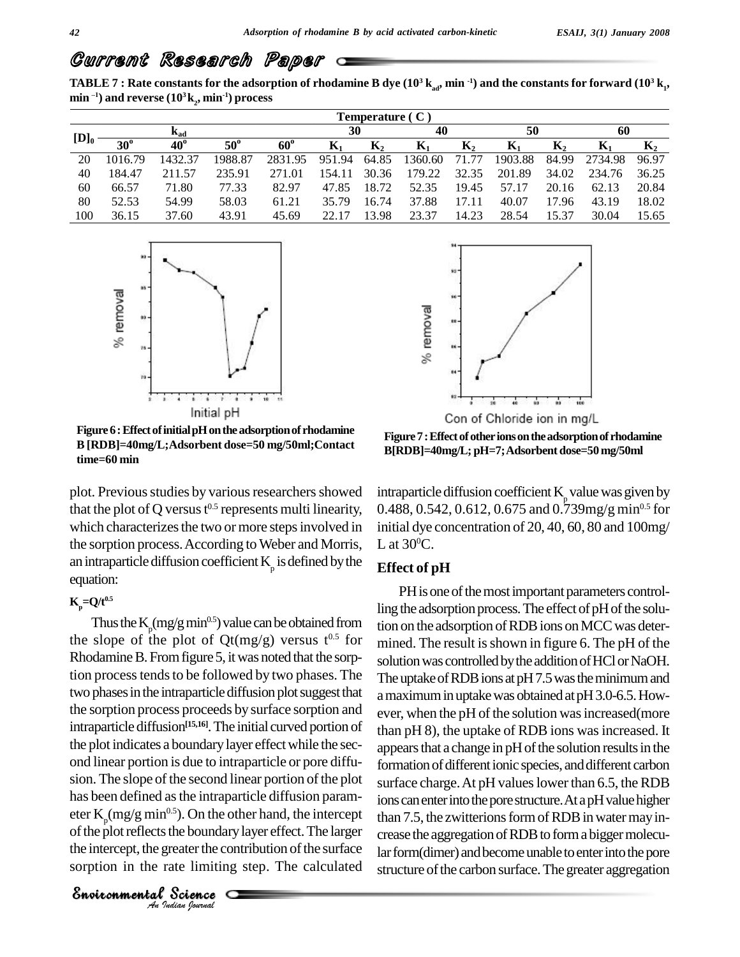TABLE 7 : Rate constants for the adsorption of rhodamine B dye ( $10^3\,{\rm k}_{_{\rm ad}},$  min  $^{\rm -1})$  and the constants for forward ( $10^3\,{\rm k}_{_{\rm I}},$ **min ) and reverse (10 <sup>3</sup>k<sup>2</sup> , min -1) process**

|         | Temperature $(C)$ |              |            |            |        |                |                |       |         |             |         |                |    |  |
|---------|-------------------|--------------|------------|------------|--------|----------------|----------------|-------|---------|-------------|---------|----------------|----|--|
|         | $K_{ad}$          |              |            |            |        |                | 30             |       | 40      |             | 50      |                | 60 |  |
| $[D]_0$ | $30^\circ$        | $40^{\circ}$ | $50^\circ$ | $60^\circ$ | Л1     | $\mathbf{N}_2$ | $\mathbf{n}_1$ | $K_2$ | Л.      | ${\bf n}_2$ | R.      | $\mathbf{n}_2$ |    |  |
| 20      | 1016.79           | 1432.37      | 1988.87    | 2831.95    | 951.94 | 64.85          | 1360.60        | 71    | 1903.88 | 84.99       | 2734.98 | 96.97          |    |  |
| 40      | 184.47            | 211.57       | 235.91     | 271.01     | 154.11 | 30.36          | 179.22         | 32.35 | 201.89  | 34.02       | 234.76  | 36.25          |    |  |
| 60      | 66.57             | 71.80        | 77.33      | 82.97      | 47.85  | 18.72          | 52.35          | 19.45 | 57.17   | 20.16       | 62.13   | 20.84          |    |  |
| 80      | 52.53             | 54.99        | 58.03      | 61.21      | 35.79  | 16.74          | 37.88          | 7.11  | 40.07   | 17<br>. 96  | 43.19   | 18.02          |    |  |
| 100     | 36.15             | 37.60        | 43.91      | 45.69      |        | 13.98          | 23.37          | 14.23 | 28.54   | 15.37       | 30.04   | 15.65          |    |  |



**Figure6:EffectofinitialpHontheadsorptionof rhodamine B [RDB]=40mg/L;Adsorbent dose=50 mg/50ml;Contact time=60 min**

plot. Previous studies by various researchers showed that the plot of Q versus  $t^{0.5}$  represents multi linearity, which characterizes the two or more steps involved in the sorption process. According to Weber and Morris, an intraparticle diffusion coefficient  $K_p$  is defined by the **Effec** equation:

### $K_{\rm p}$  = Q/t<sup>0.5</sup>

has been defined as the intraparticle diffusion param-<br>ions Science is the intrapartion of the other<br>the boundary languate the contribute is the contribute of<br>a science  $\sigma$ Thus the  $K_p(mg/g min^{0.5})$  value can be obtained from tion on the ac the slope of the plot of  $Qt(mg/g)$  versus  $t^{0.5}$  for Rhodamine B. From figure 5, it was noted that the sorption process tends to be followed by two phases. The two phases in the intraparticle diffusion plot suggest that the sorption process proceeds by surface sorption and intraparticle diffusion **[15,16]**.The initial curved portion of the plot indicates a boundarylayer effectwhile the sec ond linear portion is due to intraparticle or pore diffusion. The slope of the second linear portion of the plot eter  $K_p(mg/g min^{0.5})$ . On the other hand, the intercept that of the plot reflects the boundary layer effect. The larger the intercept, the greater the contribution of the surface sorption in the rate limiting step. The calculated

*Indian Journal*



Con of Chloride ion in mg/L

**Figure7:Effectofotherionsontheadsorptionof rhodamine B[RDB]=40mg/L; pH=7;Adsorbentdose=50mg/50ml**

intraparticle diffusion coefficient  $K_{p}$  value was given by  $0.488, 0.542, 0.612, 0.675$  and  $0.739$ mg/g min $^{0.5}$  for initial dye concentration of 20, 40, 60, 80 and 100mg/ L at  $30^{\circ}$ C.

### **Effect of pH**

PH is one of the most important parameters controlling the adsorption process. The effect of pH of the solution on the adsorption of RDB ions on MCC was determined. The result is shown in figure 6. The pH of the solution was controlled by the addition of HCl or NaOH. The uptake of RDB ions at  $pH7.5$  was the minimum and a maximum in uptake was obtained at pH 3.0-6.5. However, when the pH of the solution was increased (more than pH 8), the uptake of RDB ions was increased. It appears that a change in pH of the solution results in the formation of different ionic species, and different carbon surface charge. At pH values lower than 6.5, the RDB ions can enter into the pore structure. At a pH value higher than 7.5, the zwitterions form of RDB in water may increase the aggregation of RDB to form a bigger molecular form(dimer) and become unable to enter into the pore structure of the carbon surface. The greater aggregation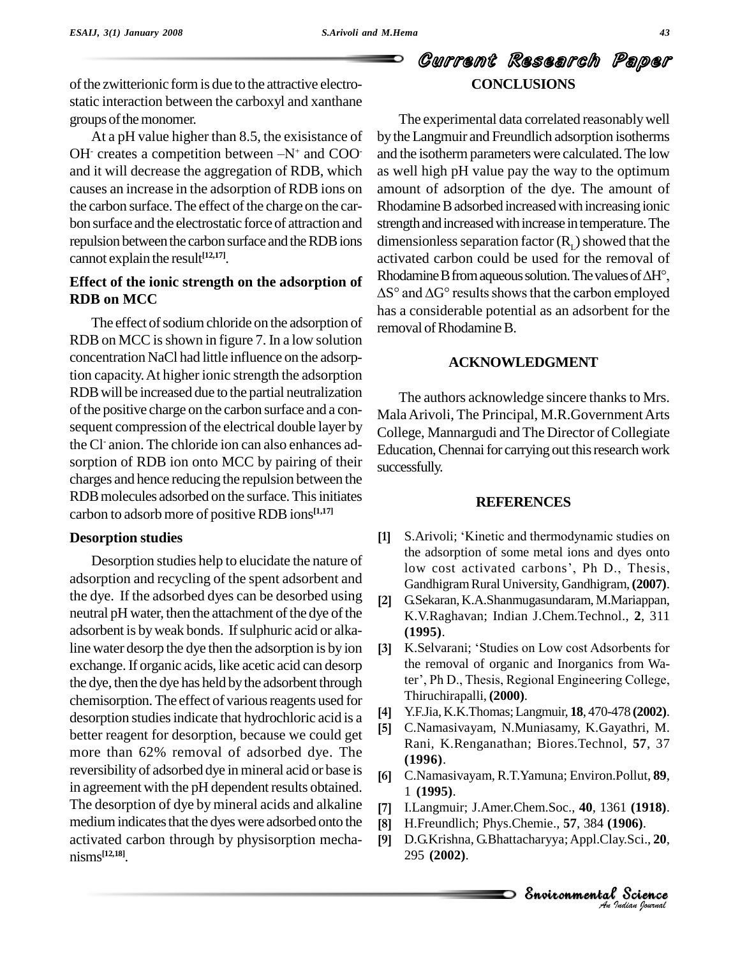of the zwitterionic form is due to the attractive electrostatic interaction between the carboxyl and xanthane groups of the monomer.

At a pH value higher than 8.5, the exisistance of OH $\cdot$  creates a competition between  $-N^+$  and COOand it will decrease the aggregation of RDB, which causes an increase in the adsorption of RDB ions on the carbon surface. The effect of the charge on the carbon surface and the electrostatic force of attraction and repulsion between the carbon surface and the RDB ions cannot explain the result **[12,17]**.

### **Effect of the ionic strength on the adsorption of RDB on MCC**

The effect of sodium chloride on the adsorption of RDB on MCC is shown in figure 7. In a low solution concentration NaCl had little influence on the adsorption capacity.At higher ionic strength the adsorption RDBwill be increased due to the partial neutralization of the positive charge on the carbon surface and a consequent compression of the electrical double layer by the Cl anion. The chloride ion can also enhances ad- $_{\rm Edd}$ sorption of RDB ion onto MCC by pairing of their charges and hence reducing the repulsion between the RDB molecules adsorbed on the surface. This initiates carbon to adsorb more of positiveRDBions **[1,17]**

### **Desorption studies**

Desorption studies help to elucidate the nature of besorption studies help to enticidate the nature of<br>adsorption and recycling of the spent adsorbent and<br>Candhiaram Bural University Gandhiaram (2007) the dye. If the adsorbed dyes can be desorbed using  $\begin{bmatrix} 2 \end{bmatrix}$ neutral pH water, then the attachment of the dye of the adsorbent is by weak bonds. If sulphuric acid or alkaline water desorp the dye then the adsorption is by ion  $[3]$ exchange. If organic acids, like acetic acid can desorp the removal of organic and Inorganics from Wa-<br>the dve then the dve has held by the adsorbent through ter', Ph D., Thesis, Regional Engineering College, the dye, then the dye has held bythe adsorbent through chemisorption. The effect of various reagents used for<br>deserption studies indicate that hydrophloric acid is a desorption studies indicate that hydrochloric acid is a  $\frac{[4]}{[5]}$ better reagent for desorption, because we could get more than 62% removal of adsorbed dye. The reversibility of adsorbed dye in mineral acid or base is in agreement with the pH dependent results obtained. The desorption of dye by mineral acids and alkaline [7] medium indicates that the dyes were adsorbed onto the [8] activated carbon through by physisorption mecha nisms **[12,18]**.

# Current Research Paper **CONCLUSIONS**

The experimental data correlated reasonablywell by the Langmuir and Freundlich adsorption isotherms and the isothermparameters were calculated.The low as well high pH value pay the way to the optimum amount of adsorption of the dye. The amount of Rhodamine B adsorbed increased with increasing ionic strength and increased with increase in temperature. The dimensionless separation factor  $(R<sub>L</sub>)$  showed that the activated carbon could be used for the removal of Rhodamine B from aqueous solution. The values of  $\Delta H^{\circ}$ ,  $\Delta S^{\circ}$  and  $\Delta G^{\circ}$  results shows that the carbon employed has a considerable potential as an adsorbent for the removal of Rhodamine B.

### **ACKNOWLEDGMENT**

The authors acknowledge sincere thanks to Mrs. MalaArivoli, The Principal, M.R.GovernmentArts College, Mannargudi and The Director of Collegiate Education, Chennai for carrying out this research work successfully.

### **REFERENCES**

- S. Arivoli; 'Kinetic and thermodynamic studies on<br>the adsorption of some metal ions and dyes onto<br>low cost activated carbons', Ph D., Thesis,  $[1]$ S. Arivoli; 'Kinetic and thermodynamic studies on the adsorption of some metal ions and dyes onto Gandhigram Rural University, Gandhigram, (2007).
- G.Sekaran,K.A.Shanmugasundaram, M.Mariappan, K.V.Raghavan; Indian J.Chem.Technol., **2**, 311 **(1995)**. **[3]**K.V.Raghavan; Indian J.Chem.Technol., 2, 311<br>(**1995**).<br>K.Selvarani; 'Studies on Low cost Adsorbents for
- the removal of organic and Inorganics from Wa-K.Selvarani; 'Studies on Low cost Adsorbents for<br>the removal of organic and Inorganics from Wa-<br>ter', Ph D., Thesis, Regional Engineering College, Thiruchirapalli, **(2000)**. **[4]**
- Y.F.Jia, K.K.Thomas;Langmuir, **18**, 470-478 **(2002)**. **[5]**
- C.Namasivayam, N.Muniasamy, K.Gayathri, M. Rani, K.Renganathan; Biores.Technol, **57**, 37 **(1996)**. **[6]**
- C.Namasivayam, R.T.Yamuna; Environ.Pollut, **89**, 1 **(1995)**. **[7]**
- *An*Environmental I.Langmuir; J.Amer.Chem.Soc., **40**, 1361 **(1918)**. **[8]**
- H.Freundlich; Phys.Chemie., **57**, 384 **(1906)**. **[9]**
- 61 (**1918).<br>1906).**<br>ay.Sci., **20,<br>? Science** | (1918).<br>|006).<br>!.Sci., 20,<br>Science D.G.Krishna, G.Bhattacharyya;Appl.Clay.Sci., **20**, 295 **(2002)**.